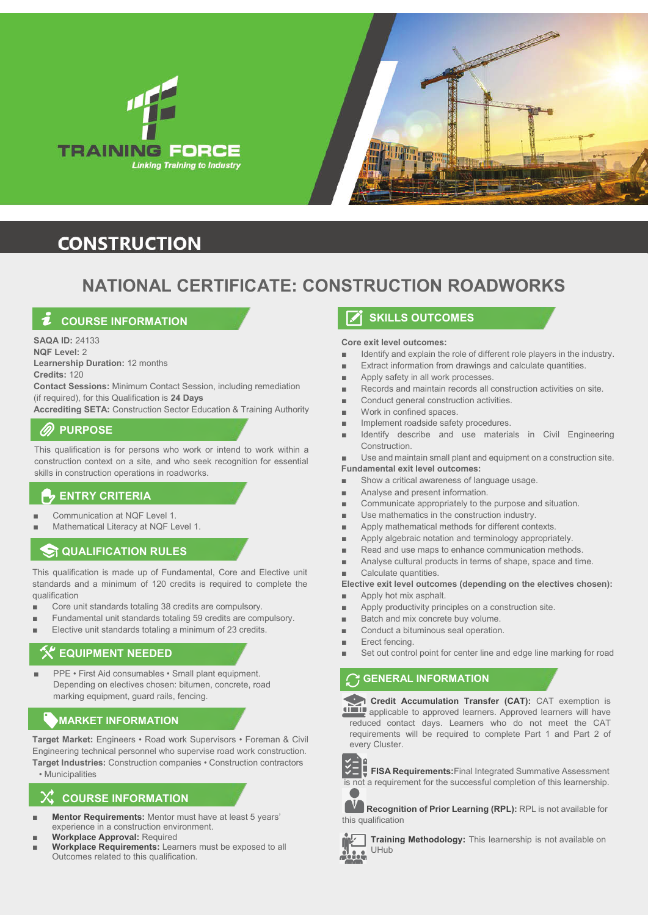



## **CONSTRUCTION**

## **NATIONAL CERTIFICATE: CONSTRUCTION ROADWORKS**

## **COURSE INFORMATION**

**SAQA ID:** 24133 **NQF Level:** 2 **Learnership Duration:** 12 months

**Credits:** 120 **Contact Sessions:** Minimum Contact Session, including remediation (if required), for this Qualification is **24 Days**

**Accrediting SETA:** Construction Sector Education & Training Authority

## **PURPOSE**

This qualification is for persons who work or intend to work within a construction context on a site, and who seek recognition for essential skills in construction operations in roadworks.

#### **ENTRY CRITERIA**

- Communication at NQF Level 1.
- Mathematical Literacy at NQF Level 1.

#### **QUALIFICATION RULES**

This qualification is made up of Fundamental, Core and Elective unit standards and a minimum of 120 credits is required to complete the qualification

- Core unit standards totaling 38 credits are compulsory.
- Fundamental unit standards totaling 59 credits are compulsory.
- Elective unit standards totaling a minimum of 23 credits.

## **EQUIPMENT NEEDED**

PPE • First Aid consumables • Small plant equipment. Depending on electives chosen: bitumen, concrete, road marking equipment, guard rails, fencing.

## **MARKET INFORMATION**

**Target Market:** Engineers • Road work Supervisors • Foreman & Civil Engineering technical personnel who supervise road work construction. **Target Industries:** Construction companies • Construction contractors

#### • Municipalities

## **COURSE INFORMATION**

- **Mentor Requirements:** Mentor must have at least 5 years' experience in a construction environment.
- **Workplace Approval: Required**
- **Workplace Requirements:** Learners must be exposed to all Outcomes related to this qualification.

## **SKILLS OUTCOMES**

#### **Core exit level outcomes:**

- Identify and explain the role of different role players in the industry.
- Extract information from drawings and calculate quantities.
- Apply safety in all work processes.
- Records and maintain records all construction activities on site.
- Conduct general construction activities.
- Work in confined spaces.
- Implement roadside safety procedures.
- Identify describe and use materials in Civil Engineering Construction.
- Use and maintain small plant and equipment on a construction site.
- **Fundamental exit level outcomes:**
- Show a critical awareness of language usage.
- Analyse and present information.
- Communicate appropriately to the purpose and situation.
- Use mathematics in the construction industry.
- Apply mathematical methods for different contexts.
- Apply algebraic notation and terminology appropriately.
- Read and use maps to enhance communication methods.
- Analyse cultural products in terms of shape, space and time.

Calculate quantities.

#### **Elective exit level outcomes (depending on the electives chosen):**

- Apply hot mix asphalt.
- Apply productivity principles on a construction site.
- Batch and mix concrete buy volume.
- Conduct a bituminous seal operation.
- Erect fencing.
- Set out control point for center line and edge line marking for road

## **C** GENERAL INFORMATION

 **Credit Accumulation Transfer (CAT):** CAT exemption is **ADDE applicable to approved learners. Approved learners will have** reduced contact days. Learners who do not meet the CAT requirements will be required to complete Part 1 and Part 2 of every Cluster.



**FISA Requirements:**Final Integrated Summative Assessment is not a requirement for the successful completion of this learnership.

**Recognition of Prior Learning (RPL):** RPL is not available for this qualification



**Training Methodology:** This learnership is not available on UHub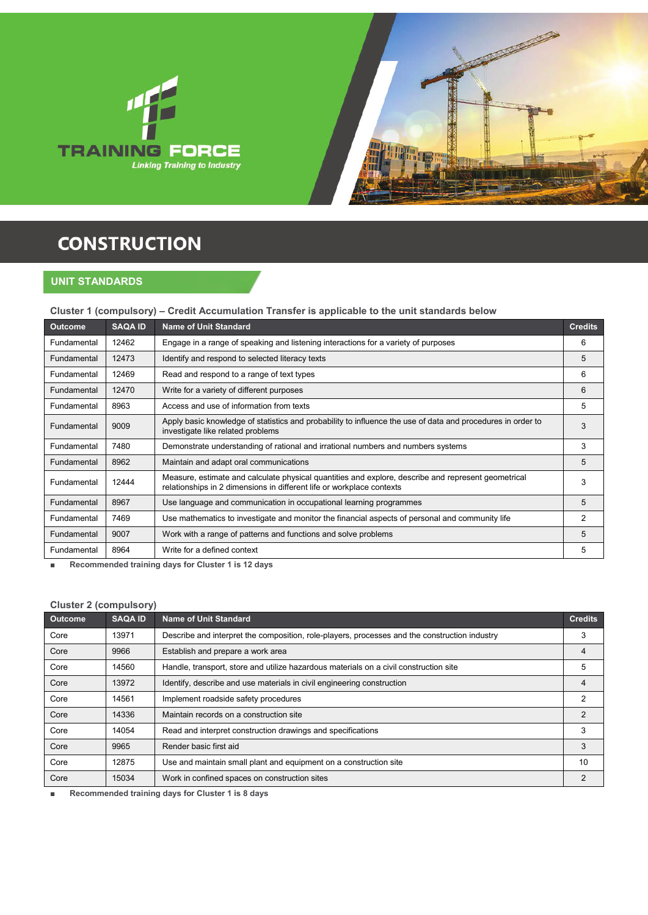



# **CONSTRUCTION**

**UNIT STANDARDS**

#### **Cluster 1 (compulsory) – Credit Accumulation Transfer is applicable to the unit standards below**

| <b>Outcome</b> | <b>SAQA ID</b> | <b>Name of Unit Standard</b>                                                                                                                                                 | <b>Credits</b> |
|----------------|----------------|------------------------------------------------------------------------------------------------------------------------------------------------------------------------------|----------------|
| Fundamental    | 12462          | Engage in a range of speaking and listening interactions for a variety of purposes                                                                                           | 6              |
| Fundamental    | 12473          | Identify and respond to selected literacy texts                                                                                                                              | 5              |
| Fundamental    | 12469          | Read and respond to a range of text types                                                                                                                                    | 6              |
| Fundamental    | 12470          | Write for a variety of different purposes                                                                                                                                    | 6              |
| Fundamental    | 8963           | Access and use of information from texts                                                                                                                                     | 5              |
| Fundamental    | 9009           | Apply basic knowledge of statistics and probability to influence the use of data and procedures in order to<br>investigate like related problems                             | 3              |
| Fundamental    | 7480           | Demonstrate understanding of rational and irrational numbers and numbers systems                                                                                             | 3              |
| Fundamental    | 8962           | Maintain and adapt oral communications                                                                                                                                       | 5              |
| Fundamental    | 12444          | Measure, estimate and calculate physical quantities and explore, describe and represent geometrical<br>relationships in 2 dimensions in different life or workplace contexts | 3              |
| Fundamental    | 8967           | Use language and communication in occupational learning programmes                                                                                                           | 5              |
| Fundamental    | 7469           | Use mathematics to investigate and monitor the financial aspects of personal and community life                                                                              | 2              |
| Fundamental    | 9007           | Work with a range of patterns and functions and solve problems                                                                                                               | 5              |
| Fundamental    | 8964           | Write for a defined context                                                                                                                                                  | 5              |

■ **Recommended training days for Cluster 1 is 12 days**

#### **Cluster 2 (compulsory)**

| $\frac{1}{2}$<br><b>Outcome</b> | <b>SAQA ID</b> | <b>Name of Unit Standard</b>                                                                  | <b>Credits</b> |
|---------------------------------|----------------|-----------------------------------------------------------------------------------------------|----------------|
| Core                            | 13971          | Describe and interpret the composition, role-players, processes and the construction industry | 3              |
| Core                            | 9966           | Establish and prepare a work area                                                             | 4              |
| Core                            | 14560          | Handle, transport, store and utilize hazardous materials on a civil construction site         | 5              |
| Core                            | 13972          | Identify, describe and use materials in civil engineering construction                        | 4              |
| Core                            | 14561          | Implement roadside safety procedures                                                          | 2              |
| Core                            | 14336          | Maintain records on a construction site                                                       | 2              |
| Core                            | 14054          | Read and interpret construction drawings and specifications                                   | 3              |
| Core                            | 9965           | Render basic first aid                                                                        | 3              |
| Core                            | 12875          | Use and maintain small plant and equipment on a construction site                             | 10             |
| Core                            | 15034          | Work in confined spaces on construction sites                                                 | 2              |

■ **Recommended training days for Cluster 1 is 8 days**